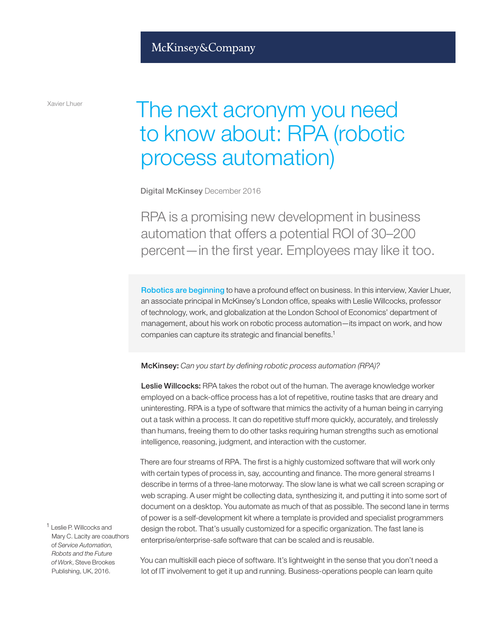## McKinsey&Company

Xavier Lhuer

# The next acronym you need to know about: RPA (robotic process automation)

Digital McKinsey December 2016

RPA is a promising new development in business automation that offers a potential ROI of 30–200 percent—in the first year. Employees may like it too.

Robotics are beginning to have a profound effect on business. In this interview, Xavier Lhuer, an associate principal in McKinsey's London office, speaks with Leslie Willcocks, professor of technology, work, and globalization at the London School of Economics' department of management, about his work on robotic process automation—its impact on work, and how companies can capture its strategic and financial benefits.1

McKinsey: *Can you start by defining robotic process automation (RPA)?*

Leslie Willcocks: RPA takes the robot out of the human. The average knowledge worker employed on a back-office process has a lot of repetitive, routine tasks that are dreary and uninteresting. RPA is a type of software that mimics the activity of a human being in carrying out a task within a process. It can do repetitive stuff more quickly, accurately, and tirelessly than humans, freeing them to do other tasks requiring human strengths such as emotional intelligence, reasoning, judgment, and interaction with the customer.

There are four streams of RPA. The first is a highly customized software that will work only with certain types of process in, say, accounting and finance. The more general streams I describe in terms of a three-lane motorway. The slow lane is what we call screen scraping or web scraping. A user might be collecting data, synthesizing it, and putting it into some sort of document on a desktop. You automate as much of that as possible. The second lane in terms of power is a self-development kit where a template is provided and specialist programmers design the robot. That's usually customized for a specific organization. The fast lane is enterprise/enterprise-safe software that can be scaled and is reusable.

<sup>1</sup> Leslie P. Willcocks and Mary C. Lacity are coauthors of *Service Automation, Robots and the Future of Work*, Steve Brookes Publishing, UK, 2016.

You can multiskill each piece of software. It's lightweight in the sense that you don't need a lot of IT involvement to get it up and running. Business-operations people can learn quite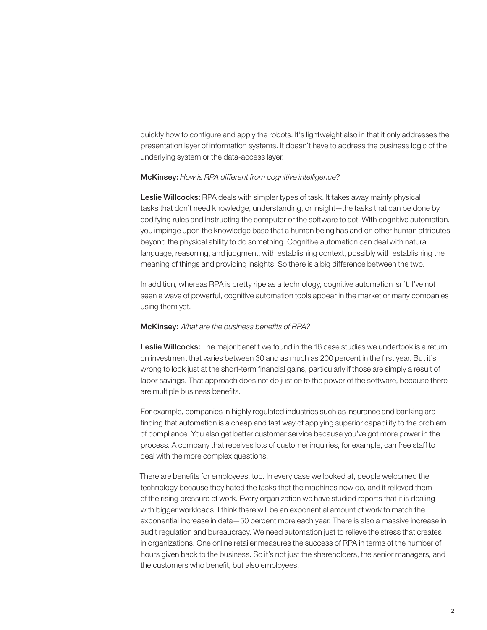quickly how to configure and apply the robots. It's lightweight also in that it only addresses the presentation layer of information systems. It doesn't have to address the business logic of the underlying system or the data-access layer.

#### McKinsey: *How is RPA different from cognitive intelligence?*

Leslie Willcocks: RPA deals with simpler types of task. It takes away mainly physical tasks that don't need knowledge, understanding, or insight—the tasks that can be done by codifying rules and instructing the computer or the software to act. With cognitive automation, you impinge upon the knowledge base that a human being has and on other human attributes beyond the physical ability to do something. Cognitive automation can deal with natural language, reasoning, and judgment, with establishing context, possibly with establishing the meaning of things and providing insights. So there is a big difference between the two.

In addition, whereas RPA is pretty ripe as a technology, cognitive automation isn't. I've not seen a wave of powerful, cognitive automation tools appear in the market or many companies using them yet.

#### McKinsey: *What are the business benefits of RPA?*

Leslie Willcocks: The major benefit we found in the 16 case studies we undertook is a return on investment that varies between 30 and as much as 200 percent in the first year. But it's wrong to look just at the short-term financial gains, particularly if those are simply a result of labor savings. That approach does not do justice to the power of the software, because there are multiple business benefits.

For example, companies in highly regulated industries such as insurance and banking are finding that automation is a cheap and fast way of applying superior capability to the problem of compliance. You also get better customer service because you've got more power in the process. A company that receives lots of customer inquiries, for example, can free staff to deal with the more complex questions.

There are benefits for employees, too. In every case we looked at, people welcomed the technology because they hated the tasks that the machines now do, and it relieved them of the rising pressure of work. Every organization we have studied reports that it is dealing with bigger workloads. I think there will be an exponential amount of work to match the exponential increase in data—50 percent more each year. There is also a massive increase in audit regulation and bureaucracy. We need automation just to relieve the stress that creates in organizations. One online retailer measures the success of RPA in terms of the number of hours given back to the business. So it's not just the shareholders, the senior managers, and the customers who benefit, but also employees.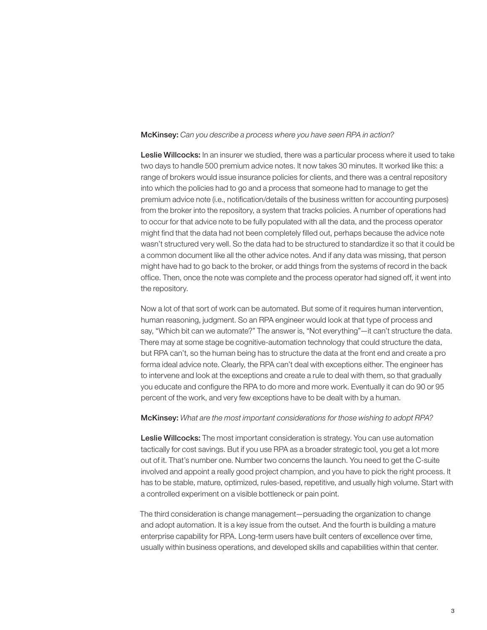### McKinsey: *Can you describe a process where you have seen RPA in action?*

Leslie Willcocks: In an insurer we studied, there was a particular process where it used to take two days to handle 500 premium advice notes. It now takes 30 minutes. It worked like this: a range of brokers would issue insurance policies for clients, and there was a central repository into which the policies had to go and a process that someone had to manage to get the premium advice note (i.e., notification/details of the business written for accounting purposes) from the broker into the repository, a system that tracks policies. A number of operations had to occur for that advice note to be fully populated with all the data, and the process operator might find that the data had not been completely filled out, perhaps because the advice note wasn't structured very well. So the data had to be structured to standardize it so that it could be a common document like all the other advice notes. And if any data was missing, that person might have had to go back to the broker, or add things from the systems of record in the back office. Then, once the note was complete and the process operator had signed off, it went into the repository.

Now a lot of that sort of work can be automated. But some of it requires human intervention, human reasoning, judgment. So an RPA engineer would look at that type of process and say, "Which bit can we automate?" The answer is, "Not everything"—it can't structure the data. There may at some stage be cognitive-automation technology that could structure the data, but RPA can't, so the human being has to structure the data at the front end and create a pro forma ideal advice note. Clearly, the RPA can't deal with exceptions either. The engineer has to intervene and look at the exceptions and create a rule to deal with them, so that gradually you educate and configure the RPA to do more and more work. Eventually it can do 90 or 95 percent of the work, and very few exceptions have to be dealt with by a human.

#### McKinsey: *What are the most important considerations for those wishing to adopt RPA?*

Leslie Willcocks: The most important consideration is strategy. You can use automation tactically for cost savings. But if you use RPA as a broader strategic tool, you get a lot more out of it. That's number one. Number two concerns the launch. You need to get the C-suite involved and appoint a really good project champion, and you have to pick the right process. It has to be stable, mature, optimized, rules-based, repetitive, and usually high volume. Start with a controlled experiment on a visible bottleneck or pain point.

The third consideration is change management—persuading the organization to change and adopt automation. It is a key issue from the outset. And the fourth is building a mature enterprise capability for RPA. Long-term users have built centers of excellence over time, usually within business operations, and developed skills and capabilities within that center.